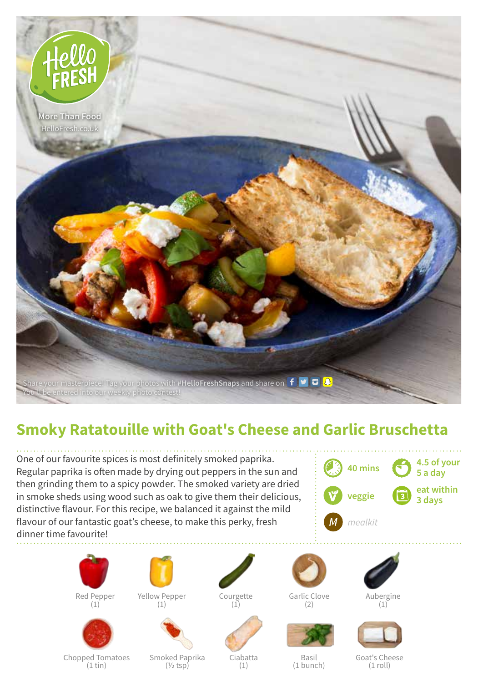

## **Smoky Ratatouille with Goat's Cheese and Garlic Bruschetta**

One of our favourite spices is most definitely smoked paprika. Regular paprika is often made by drying out peppers in the sun and then grinding them to a spicy powder. The smoked variety are dried in smoke sheds using wood such as oak to give them their delicious, distinctive flavour. For this recipe, we balanced it against the mild flavour of our fantastic goat's cheese, to make this perky, fresh dinner time favourite!





(1)



Yellow Pepper (1)



Courgette

 $(1)$ 



Garlic Clove  $(2)$ 





Aubergine (1)



Chopped Tomatoes (1 tin)

Smoked Paprika  $(1/2$  tsp)

Ciabatta (1)

Basil (1 bunch)

Goat's Cheese (1 roll)